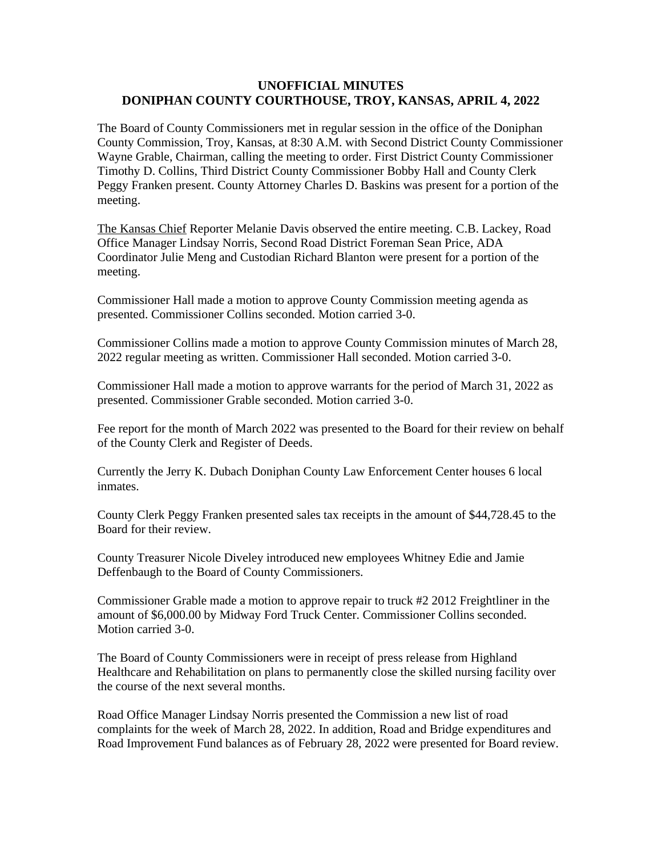## **UNOFFICIAL MINUTES DONIPHAN COUNTY COURTHOUSE, TROY, KANSAS, APRIL 4, 2022**

The Board of County Commissioners met in regular session in the office of the Doniphan County Commission, Troy, Kansas, at 8:30 A.M. with Second District County Commissioner Wayne Grable, Chairman, calling the meeting to order. First District County Commissioner Timothy D. Collins, Third District County Commissioner Bobby Hall and County Clerk Peggy Franken present. County Attorney Charles D. Baskins was present for a portion of the meeting.

The Kansas Chief Reporter Melanie Davis observed the entire meeting. C.B. Lackey, Road Office Manager Lindsay Norris, Second Road District Foreman Sean Price, ADA Coordinator Julie Meng and Custodian Richard Blanton were present for a portion of the meeting.

Commissioner Hall made a motion to approve County Commission meeting agenda as presented. Commissioner Collins seconded. Motion carried 3-0.

Commissioner Collins made a motion to approve County Commission minutes of March 28, 2022 regular meeting as written. Commissioner Hall seconded. Motion carried 3-0.

Commissioner Hall made a motion to approve warrants for the period of March 31, 2022 as presented. Commissioner Grable seconded. Motion carried 3-0.

Fee report for the month of March 2022 was presented to the Board for their review on behalf of the County Clerk and Register of Deeds.

Currently the Jerry K. Dubach Doniphan County Law Enforcement Center houses 6 local inmates.

County Clerk Peggy Franken presented sales tax receipts in the amount of \$44,728.45 to the Board for their review.

County Treasurer Nicole Diveley introduced new employees Whitney Edie and Jamie Deffenbaugh to the Board of County Commissioners.

Commissioner Grable made a motion to approve repair to truck #2 2012 Freightliner in the amount of \$6,000.00 by Midway Ford Truck Center. Commissioner Collins seconded. Motion carried 3-0.

The Board of County Commissioners were in receipt of press release from Highland Healthcare and Rehabilitation on plans to permanently close the skilled nursing facility over the course of the next several months.

Road Office Manager Lindsay Norris presented the Commission a new list of road complaints for the week of March 28, 2022. In addition, Road and Bridge expenditures and Road Improvement Fund balances as of February 28, 2022 were presented for Board review.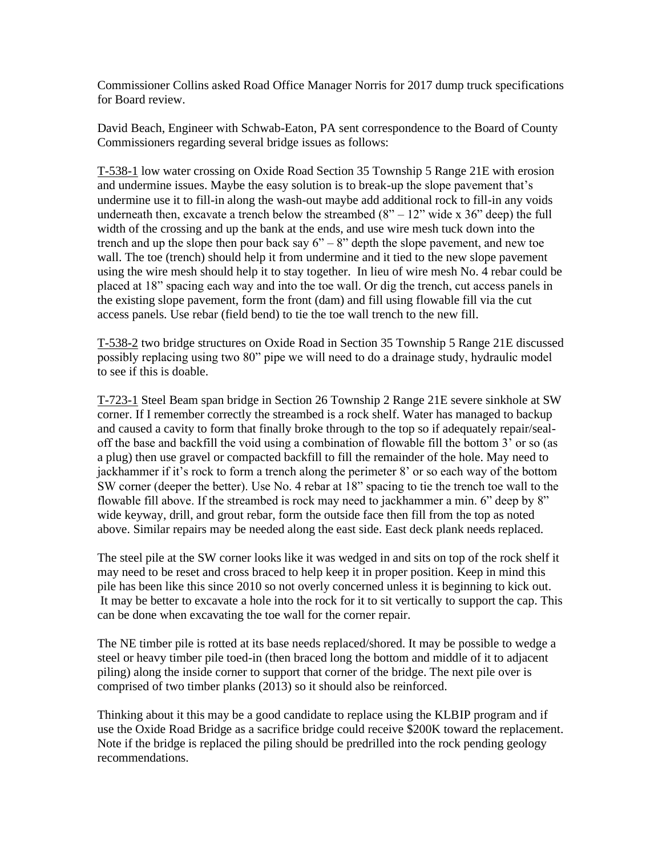Commissioner Collins asked Road Office Manager Norris for 2017 dump truck specifications for Board review.

David Beach, Engineer with Schwab-Eaton, PA sent correspondence to the Board of County Commissioners regarding several bridge issues as follows:

T-538-1 low water crossing on Oxide Road Section 35 Township 5 Range 21E with erosion and undermine issues. Maybe the easy solution is to break-up the slope pavement that's undermine use it to fill-in along the wash-out maybe add additional rock to fill-in any voids underneath then, excavate a trench below the streambed  $(8" - 12"$  wide x 36" deep) the full width of the crossing and up the bank at the ends, and use wire mesh tuck down into the trench and up the slope then pour back say  $6" - 8"$  depth the slope pavement, and new toe wall. The toe (trench) should help it from undermine and it tied to the new slope pavement using the wire mesh should help it to stay together. In lieu of wire mesh No. 4 rebar could be placed at 18" spacing each way and into the toe wall. Or dig the trench, cut access panels in the existing slope pavement, form the front (dam) and fill using flowable fill via the cut access panels. Use rebar (field bend) to tie the toe wall trench to the new fill.

T-538-2 two bridge structures on Oxide Road in Section 35 Township 5 Range 21E discussed possibly replacing using two 80" pipe we will need to do a drainage study, hydraulic model to see if this is doable.

T-723-1 Steel Beam span bridge in Section 26 Township 2 Range 21E severe sinkhole at SW corner. If I remember correctly the streambed is a rock shelf. Water has managed to backup and caused a cavity to form that finally broke through to the top so if adequately repair/sealoff the base and backfill the void using a combination of flowable fill the bottom 3' or so (as a plug) then use gravel or compacted backfill to fill the remainder of the hole. May need to jackhammer if it's rock to form a trench along the perimeter 8' or so each way of the bottom SW corner (deeper the better). Use No. 4 rebar at 18" spacing to tie the trench toe wall to the flowable fill above. If the streambed is rock may need to jackhammer a min. 6" deep by 8" wide keyway, drill, and grout rebar, form the outside face then fill from the top as noted above. Similar repairs may be needed along the east side. East deck plank needs replaced.

The steel pile at the SW corner looks like it was wedged in and sits on top of the rock shelf it may need to be reset and cross braced to help keep it in proper position. Keep in mind this pile has been like this since 2010 so not overly concerned unless it is beginning to kick out. It may be better to excavate a hole into the rock for it to sit vertically to support the cap. This can be done when excavating the toe wall for the corner repair.

The NE timber pile is rotted at its base needs replaced/shored. It may be possible to wedge a steel or heavy timber pile toed-in (then braced long the bottom and middle of it to adjacent piling) along the inside corner to support that corner of the bridge. The next pile over is comprised of two timber planks (2013) so it should also be reinforced.

Thinking about it this may be a good candidate to replace using the KLBIP program and if use the Oxide Road Bridge as a sacrifice bridge could receive \$200K toward the replacement. Note if the bridge is replaced the piling should be predrilled into the rock pending geology recommendations.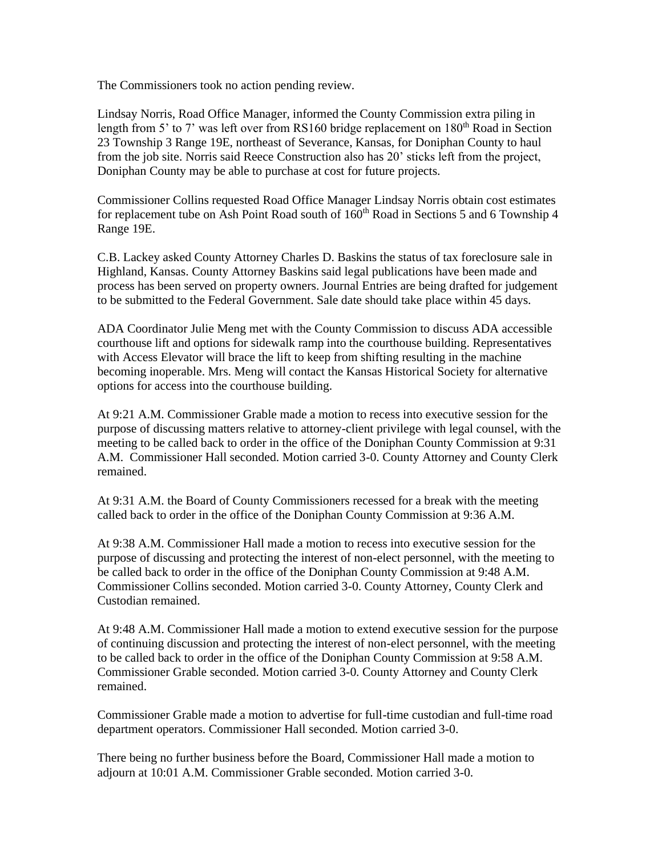The Commissioners took no action pending review.

Lindsay Norris, Road Office Manager, informed the County Commission extra piling in length from 5' to 7' was left over from RS160 bridge replacement on  $180<sup>th</sup>$  Road in Section 23 Township 3 Range 19E, northeast of Severance, Kansas, for Doniphan County to haul from the job site. Norris said Reece Construction also has 20' sticks left from the project, Doniphan County may be able to purchase at cost for future projects.

Commissioner Collins requested Road Office Manager Lindsay Norris obtain cost estimates for replacement tube on Ash Point Road south of  $160<sup>th</sup>$  Road in Sections 5 and 6 Township 4 Range 19E.

C.B. Lackey asked County Attorney Charles D. Baskins the status of tax foreclosure sale in Highland, Kansas. County Attorney Baskins said legal publications have been made and process has been served on property owners. Journal Entries are being drafted for judgement to be submitted to the Federal Government. Sale date should take place within 45 days.

ADA Coordinator Julie Meng met with the County Commission to discuss ADA accessible courthouse lift and options for sidewalk ramp into the courthouse building. Representatives with Access Elevator will brace the lift to keep from shifting resulting in the machine becoming inoperable. Mrs. Meng will contact the Kansas Historical Society for alternative options for access into the courthouse building.

At 9:21 A.M. Commissioner Grable made a motion to recess into executive session for the purpose of discussing matters relative to attorney-client privilege with legal counsel, with the meeting to be called back to order in the office of the Doniphan County Commission at 9:31 A.M. Commissioner Hall seconded. Motion carried 3-0. County Attorney and County Clerk remained.

At 9:31 A.M. the Board of County Commissioners recessed for a break with the meeting called back to order in the office of the Doniphan County Commission at 9:36 A.M.

At 9:38 A.M. Commissioner Hall made a motion to recess into executive session for the purpose of discussing and protecting the interest of non-elect personnel, with the meeting to be called back to order in the office of the Doniphan County Commission at 9:48 A.M. Commissioner Collins seconded. Motion carried 3-0. County Attorney, County Clerk and Custodian remained.

At 9:48 A.M. Commissioner Hall made a motion to extend executive session for the purpose of continuing discussion and protecting the interest of non-elect personnel, with the meeting to be called back to order in the office of the Doniphan County Commission at 9:58 A.M. Commissioner Grable seconded. Motion carried 3-0. County Attorney and County Clerk remained.

Commissioner Grable made a motion to advertise for full-time custodian and full-time road department operators. Commissioner Hall seconded. Motion carried 3-0.

There being no further business before the Board, Commissioner Hall made a motion to adjourn at 10:01 A.M. Commissioner Grable seconded. Motion carried 3-0.